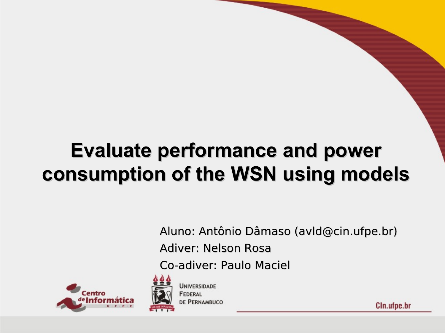### **Evaluate performance and power consumption of the WSN using models**

Aluno: Antônio Dâmaso (avld@cin.ufpe.br)

Adiver: Nelson Rosa

Co-adiver: Paulo Maciel



**UNIVERSIDADE** FEDERAL DE PERNAMBUCO

Cln.ufpe.br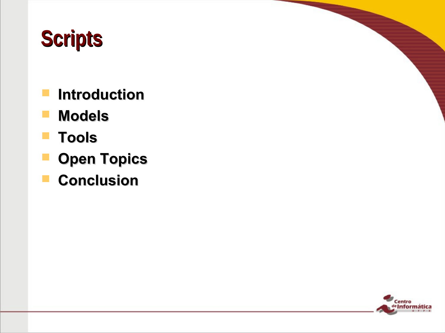## **Scripts**

- **Introduction**
- **Models**
- **Tools**
- **P** Open Topics
- **Conclusion**

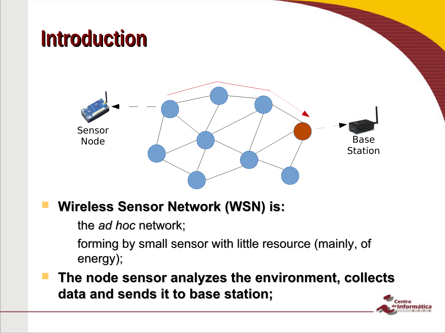### **Introduction**



#### **Wireless Sensor Network (WSN) is:**

– the *ad hoc* network;

forming by small sensor with little resource (mainly, of energy);

 **The node sensor analyzes the environment, collects data and sends it to base station;**

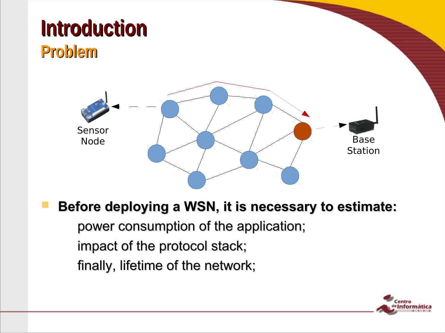

#### **Before deploying a WSN, it is necessary to estimate:**

power consumption of the application;

impact of the protocol stack;

finally, lifetime of the network;

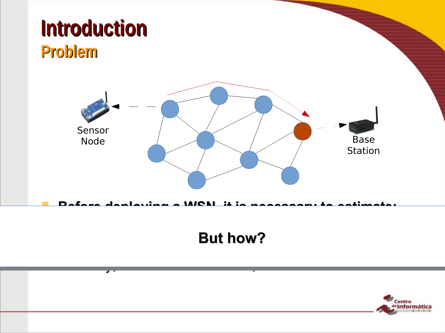

#### $-$  power consumption of the application;  $\mathcal{L}$  $\overline{\mathbf{u}}$  in pact of the protocol state  $\overline{\mathbf{v}}$ **But how?**

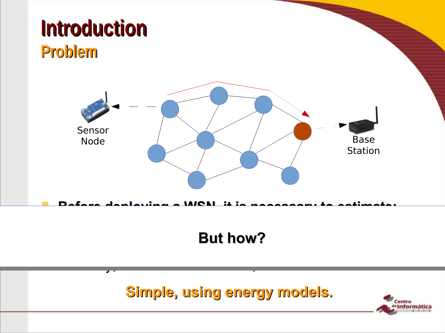

#### $-$  power consumption of the application;  $\mathcal{L}$  $\overline{\mathbf{u}}$  in pact of the protocol state  $\overline{\mathbf{v}}$ **But how?**

**Simple, using energy models.**

– finally, lifetime of the network;

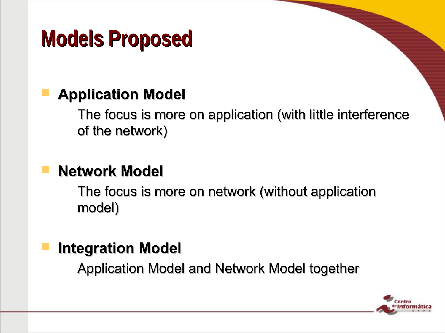### **Models Proposed**

### **Application Model**

– The focus is more on application (with little interference of the network)

#### **Network Model**

The focus is more on network (without application model)

#### **Integration Model**

– Application Model and Network Model together

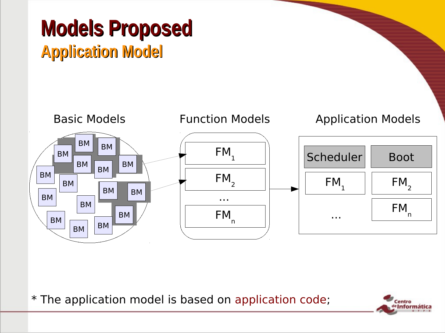



\* The application model is based on application code;

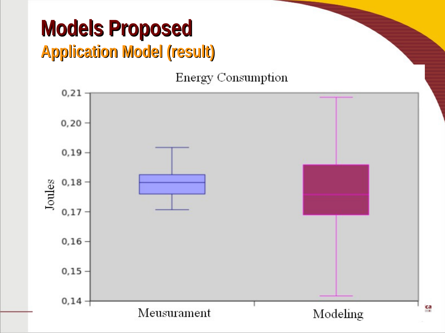### **Models Proposed Application Model (result)**

**Energy Consumption** 



ca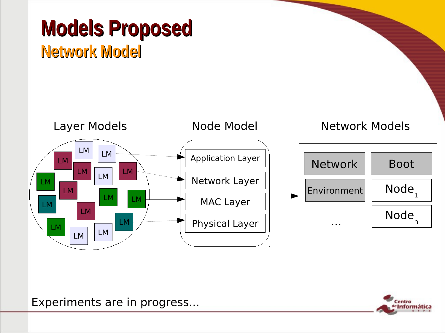### **Models Proposed Network Model**



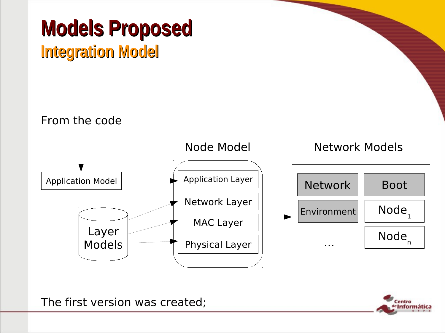# **Models Proposed**

### **Integration Model**



The first version was created;

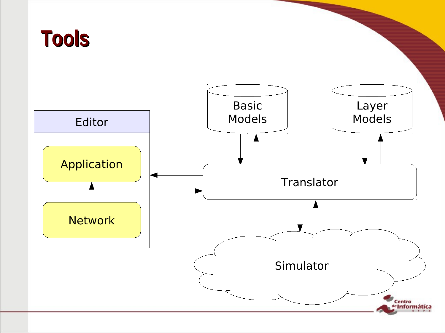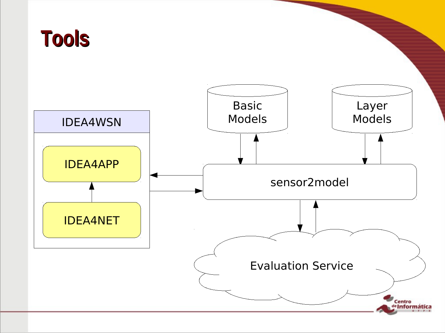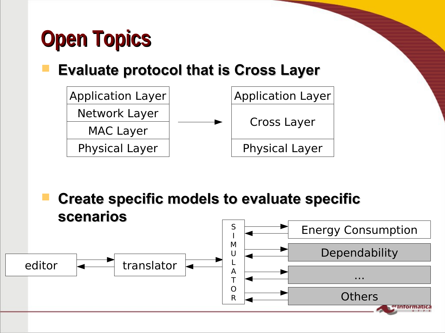## **Open Topics**

### **Evaluate protocol that is Cross Layer**



 **Create specific models to evaluate specific scenarios**

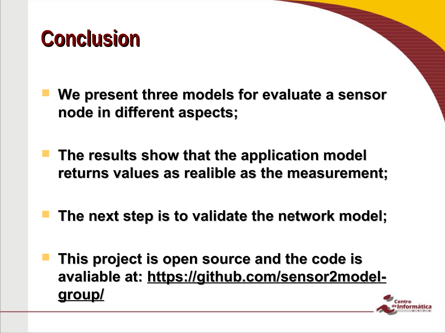### **Conclusion**

- **We present three models for evaluate a sensor node in different aspects;**
- **The results show that the application model returns values as realible as the measurement;**
- **The next step is to validate the network model;**
- **This project is open source and the code is avaliable at: https://github.com/sensor2modelgroup/**